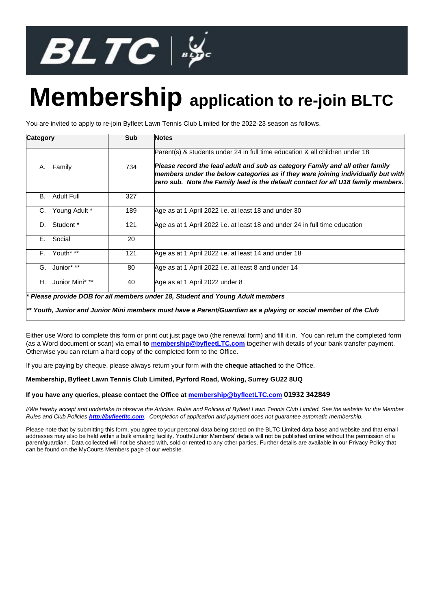

## **Membership application to re-join BLTC**

You are invited to apply to re-join Byfleet Lawn Tennis Club Limited for the 2022-23 season as follows.

| <b>Category</b> |                 | Sub | <b>Notes</b>                                                                                                                                                                                                                                                                                                                          |  |  |  |
|-----------------|-----------------|-----|---------------------------------------------------------------------------------------------------------------------------------------------------------------------------------------------------------------------------------------------------------------------------------------------------------------------------------------|--|--|--|
| А.              | Family          | 734 | Parent(s) & students under 24 in full time education & all children under 18<br>Please record the lead adult and sub as category Family and all other family<br>members under the below categories as if they were joining individually but with<br>zero sub. Note the Family lead is the default contact for all U18 family members. |  |  |  |
| В.              | Adult Full      | 327 |                                                                                                                                                                                                                                                                                                                                       |  |  |  |
| C.              | Young Adult *   | 189 | Age as at 1 April 2022 i.e. at least 18 and under 30                                                                                                                                                                                                                                                                                  |  |  |  |
| D.              | Student *       | 121 | Age as at 1 April 2022 i.e. at least 18 and under 24 in full time education                                                                                                                                                                                                                                                           |  |  |  |
| Е.              | Social          | 20  |                                                                                                                                                                                                                                                                                                                                       |  |  |  |
|                 | F. Youth* **    | 121 | Age as at 1 April 2022 i.e. at least 14 and under 18                                                                                                                                                                                                                                                                                  |  |  |  |
|                 | G. Junior* **   | 80  | Age as at 1 April 2022 i.e. at least 8 and under 14                                                                                                                                                                                                                                                                                   |  |  |  |
| H.              | Junior Mini* ** | 40  | Age as at 1 April 2022 under 8                                                                                                                                                                                                                                                                                                        |  |  |  |

*\* Please provide DOB for all members under 18, Student and Young Adult members*

*\*\* Youth, Junior and Junior Mini members must have a Parent/Guardian as a playing or social member of the Club*

Either use Word to complete this form or print out just page two (the renewal form) and fill it in. You can return the completed form (as a Word document or scan) via email **t[o membership@byfleetLTC.com](mailto:membership@byfleetLTC.com)** together with details of your bank transfer payment. Otherwise you can return a hard copy of the completed form to the Office.

If you are paying by cheque, please always return your form with the **cheque attached** to the Office.

## **Membership, Byfleet Lawn Tennis Club Limited, Pyrford Road, Woking, Surrey GU22 8UQ**

## **If you have any queries, please contact the Office at [membership@byfleetLTC.com](mailto:membership@byfleetLTC.com0) 01932 342849**

*I/We hereby accept and undertake to observe the Articles, Rules and Policies of Byfleet Lawn Tennis Club Limited. See the website for the Member Rules and Club Policies [http://byfleetltc.com](http://byfleetltc.com/). Completion of application and payment does not guarantee automatic membership.*

Please note that by submitting this form, you agree to your personal data being stored on the BLTC Limited data base and website and that email addresses may also be held within a bulk emailing facility. Youth/Junior Members' details will not be published online without the permission of a parent/guardian. Data collected will not be shared with, sold or rented to any other parties. Further details are available in our Privacy Policy that can be found on the MyCourts Members page of our website.